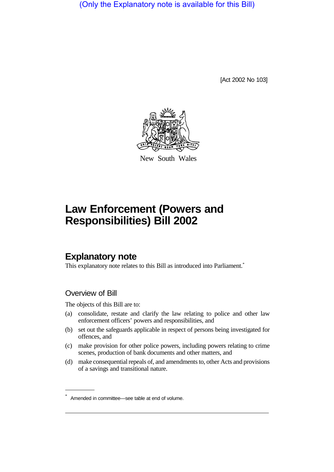(Only the Explanatory note is available for this Bill)

[Act 2002 No 103]



New South Wales

# **Law Enforcement (Powers and Responsibilities) Bill 2002**

# **Explanatory note**

This explanatory note relates to this Bill as introduced into Parliament.<sup>\*</sup>

### Overview of Bill

The objects of this Bill are to:

- (a) consolidate, restate and clarify the law relating to police and other law enforcement officers' powers and responsibilities, and
- (b) set out the safeguards applicable in respect of persons being investigated for offences, and
- (c) make provision for other police powers, including powers relating to crime scenes, production of bank documents and other matters, and
- (d) make consequential repeals of, and amendments to, other Acts and provisions of a savings and transitional nature.

Amended in committee—see table at end of volume.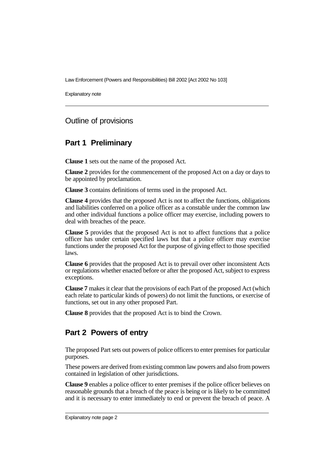Explanatory note

### Outline of provisions

### **Part 1 Preliminary**

**Clause 1** sets out the name of the proposed Act.

**Clause 2** provides for the commencement of the proposed Act on a day or days to be appointed by proclamation.

**Clause 3** contains definitions of terms used in the proposed Act.

**Clause 4** provides that the proposed Act is not to affect the functions, obligations and liabilities conferred on a police officer as a constable under the common law and other individual functions a police officer may exercise, including powers to deal with breaches of the peace.

**Clause 5** provides that the proposed Act is not to affect functions that a police officer has under certain specified laws but that a police officer may exercise functions under the proposed Act for the purpose of giving effect to those specified laws.

**Clause 6** provides that the proposed Act is to prevail over other inconsistent Acts or regulations whether enacted before or after the proposed Act, subject to express exceptions.

**Clause 7** makes it clear that the provisions of each Part of the proposed Act (which each relate to particular kinds of powers) do not limit the functions, or exercise of functions, set out in any other proposed Part.

**Clause 8** provides that the proposed Act is to bind the Crown.

# **Part 2 Powers of entry**

The proposed Part sets out powers of police officers to enter premises for particular purposes.

These powers are derived from existing common law powers and also from powers contained in legislation of other jurisdictions.

**Clause 9** enables a police officer to enter premises if the police officer believes on reasonable grounds that a breach of the peace is being or is likely to be committed and it is necessary to enter immediately to end or prevent the breach of peace. A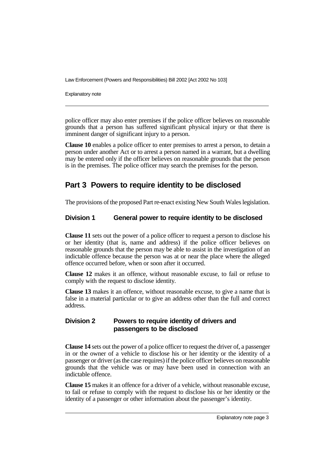Explanatory note

police officer may also enter premises if the police officer believes on reasonable grounds that a person has suffered significant physical injury or that there is imminent danger of significant injury to a person.

**Clause 10** enables a police officer to enter premises to arrest a person, to detain a person under another Act or to arrest a person named in a warrant, but a dwelling may be entered only if the officer believes on reasonable grounds that the person is in the premises. The police officer may search the premises for the person.

# **Part 3 Powers to require identity to be disclosed**

The provisions of the proposed Part re-enact existing New South Wales legislation.

#### **Division 1 General power to require identity to be disclosed**

**Clause 11** sets out the power of a police officer to request a person to disclose his or her identity (that is, name and address) if the police officer believes on reasonable grounds that the person may be able to assist in the investigation of an indictable offence because the person was at or near the place where the alleged offence occurred before, when or soon after it occurred.

**Clause 12** makes it an offence, without reasonable excuse, to fail or refuse to comply with the request to disclose identity.

**Clause 13** makes it an offence, without reasonable excuse, to give a name that is false in a material particular or to give an address other than the full and correct address.

#### **Division 2 Powers to require identity of drivers and passengers to be disclosed**

**Clause 14** sets out the power of a police officer to request the driver of, a passenger in or the owner of a vehicle to disclose his or her identity or the identity of a passenger or driver (as the case requires) if the police officer believes on reasonable grounds that the vehicle was or may have been used in connection with an indictable offence.

**Clause 15** makes it an offence for a driver of a vehicle, without reasonable excuse, to fail or refuse to comply with the request to disclose his or her identity or the identity of a passenger or other information about the passenger's identity.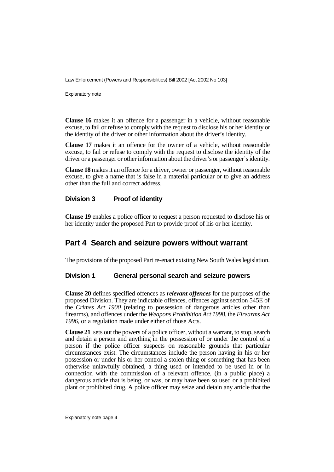Explanatory note

**Clause 16** makes it an offence for a passenger in a vehicle, without reasonable excuse, to fail or refuse to comply with the request to disclose his or her identity or the identity of the driver or other information about the driver's identity.

**Clause 17** makes it an offence for the owner of a vehicle, without reasonable excuse, to fail or refuse to comply with the request to disclose the identity of the driver or a passenger or other information about the driver's or passenger's identity.

**Clause 18** makes it an offence for a driver, owner or passenger, without reasonable excuse, to give a name that is false in a material particular or to give an address other than the full and correct address.

#### **Division 3 Proof of identity**

**Clause 19** enables a police officer to request a person requested to disclose his or her identity under the proposed Part to provide proof of his or her identity.

# **Part 4 Search and seizure powers without warrant**

The provisions of the proposed Part re-enact existing New South Wales legislation.

#### **Division 1 General personal search and seizure powers**

**Clause 20** defines specified offences as *relevant offences* for the purposes of the proposed Division. They are indictable offences, offences against section 545E of the *Crimes Act 1900* (relating to possession of dangerous articles other than firearms), and offences under the *Weapons Prohibition Act 1998*, the *Firearms Act 1996*, or a regulation made under either of those Acts.

**Clause 21** sets out the powers of a police officer, without a warrant, to stop, search and detain a person and anything in the possession of or under the control of a person if the police officer suspects on reasonable grounds that particular circumstances exist. The circumstances include the person having in his or her possession or under his or her control a stolen thing or something that has been otherwise unlawfully obtained, a thing used or intended to be used in or in connection with the commission of a relevant offence, (in a public place) a dangerous article that is being, or was, or may have been so used or a prohibited plant or prohibited drug. A police officer may seize and detain any article that the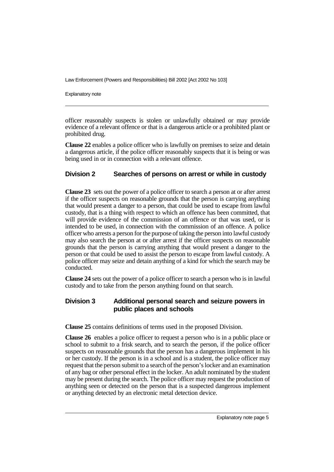Explanatory note

officer reasonably suspects is stolen or unlawfully obtained or may provide evidence of a relevant offence or that is a dangerous article or a prohibited plant or prohibited drug.

**Clause 22** enables a police officer who is lawfully on premises to seize and detain a dangerous article, if the police officer reasonably suspects that it is being or was being used in or in connection with a relevant offence.

#### **Division 2 Searches of persons on arrest or while in custody**

**Clause 23** sets out the power of a police officer to search a person at or after arrest if the officer suspects on reasonable grounds that the person is carrying anything that would present a danger to a person, that could be used to escape from lawful custody, that is a thing with respect to which an offence has been committed, that will provide evidence of the commission of an offence or that was used, or is intended to be used, in connection with the commission of an offence. A police officer who arrests a person for the purpose of taking the person into lawful custody may also search the person at or after arrest if the officer suspects on reasonable grounds that the person is carrying anything that would present a danger to the person or that could be used to assist the person to escape from lawful custody. A police officer may seize and detain anything of a kind for which the search may be conducted.

**Clause 24** sets out the power of a police officer to search a person who is in lawful custody and to take from the person anything found on that search.

#### **Division 3 Additional personal search and seizure powers in public places and schools**

**Clause 25** contains definitions of terms used in the proposed Division.

**Clause 26** enables a police officer to request a person who is in a public place or school to submit to a frisk search, and to search the person, if the police officer suspects on reasonable grounds that the person has a dangerous implement in his or her custody. If the person is in a school and is a student, the police officer may request that the person submit to a search of the person's locker and an examination of any bag or other personal effect in the locker. An adult nominated by the student may be present during the search. The police officer may request the production of anything seen or detected on the person that is a suspected dangerous implement or anything detected by an electronic metal detection device.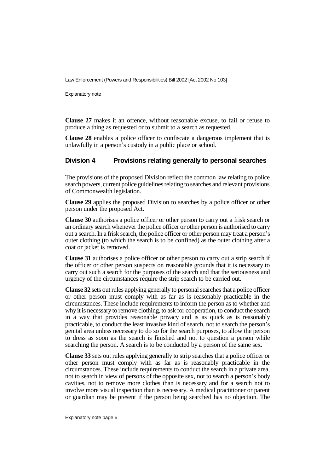Explanatory note

**Clause 27** makes it an offence, without reasonable excuse, to fail or refuse to produce a thing as requested or to submit to a search as requested.

**Clause 28** enables a police officer to confiscate a dangerous implement that is unlawfully in a person's custody in a public place or school.

#### **Division 4 Provisions relating generally to personal searches**

The provisions of the proposed Division reflect the common law relating to police search powers, current police guidelines relating to searches and relevant provisions of Commonwealth legislation.

**Clause 29** applies the proposed Division to searches by a police officer or other person under the proposed Act.

**Clause 30** authorises a police officer or other person to carry out a frisk search or an ordinary search whenever the police officer or other person is authorised to carry out a search. In a frisk search, the police officer or other person may treat a person's outer clothing (to which the search is to be confined) as the outer clothing after a coat or jacket is removed.

**Clause 31** authorises a police officer or other person to carry out a strip search if the officer or other person suspects on reasonable grounds that it is necessary to carry out such a search for the purposes of the search and that the seriousness and urgency of the circumstances require the strip search to be carried out.

**Clause 32** sets out rules applying generally to personal searches that a police officer or other person must comply with as far as is reasonably practicable in the circumstances. These include requirements to inform the person as to whether and why it is necessary to remove clothing, to ask for cooperation, to conduct the search in a way that provides reasonable privacy and is as quick as is reasonably practicable, to conduct the least invasive kind of search, not to search the person's genital area unless necessary to do so for the search purposes, to allow the person to dress as soon as the search is finished and not to question a person while searching the person. A search is to be conducted by a person of the same sex.

**Clause 33** sets out rules applying generally to strip searches that a police officer or other person must comply with as far as is reasonably practicable in the circumstances. These include requirements to conduct the search in a private area, not to search in view of persons of the opposite sex, not to search a person's body cavities, not to remove more clothes than is necessary and for a search not to involve more visual inspection than is necessary. A medical practitioner or parent or guardian may be present if the person being searched has no objection. The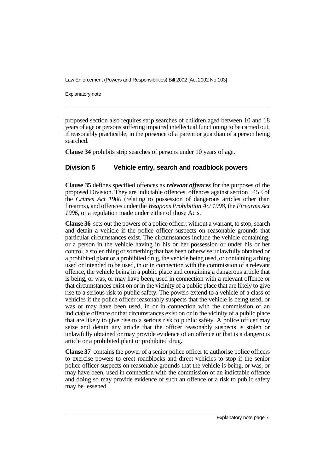Explanatory note

proposed section also requires strip searches of children aged between 10 and 18 years of age or persons suffering impaired intellectual functioning to be carried out, if reasonably practicable, in the presence of a parent or guardian of a person being searched.

**Clause 34** prohibits strip searches of persons under 10 years of age.

#### **Division 5 Vehicle entry, search and roadblock powers**

**Clause 35** defines specified offences as *relevant offences* for the purposes of the proposed Division. They are indictable offences, offences against section 545E of the *Crimes Act 1900* (relating to possession of dangerous articles other than firearms), and offences under the *Weapons Prohibition Act 1998*, the *Firearms Act 1996*, or a regulation made under either of those Acts.

**Clause 36** sets out the powers of a police officer, without a warrant, to stop, search and detain a vehicle if the police officer suspects on reasonable grounds that particular circumstances exist. The circumstances include the vehicle containing, or a person in the vehicle having in his or her possession or under his or her control, a stolen thing or something that has been otherwise unlawfully obtained or a prohibited plant or a prohibited drug, the vehicle being used, or containing a thing used or intended to be used, in or in connection with the commission of a relevant offence, the vehicle being in a public place and containing a dangerous article that is being, or was, or may have been, used in connection with a relevant offence or that circumstances exist on or in the vicinity of a public place that are likely to give rise to a serious risk to public safety. The powers extend to a vehicle of a class of vehicles if the police officer reasonably suspects that the vehicle is being used, or was or may have been used, in or in connection with the commission of an indictable offence or that circumstances exist on or in the vicinity of a public place that are likely to give rise to a serious risk to public safety. A police officer may seize and detain any article that the officer reasonably suspects is stolen or unlawfully obtained or may provide evidence of an offence or that is a dangerous article or a prohibited plant or prohibited drug.

**Clause 37** contains the power of a senior police officer to authorise police officers to exercise powers to erect roadblocks and direct vehicles to stop if the senior police officer suspects on reasonable grounds that the vehicle is being, or was, or may have been, used in connection with the commission of an indictable offence and doing so may provide evidence of such an offence or a risk to public safety may be lessened.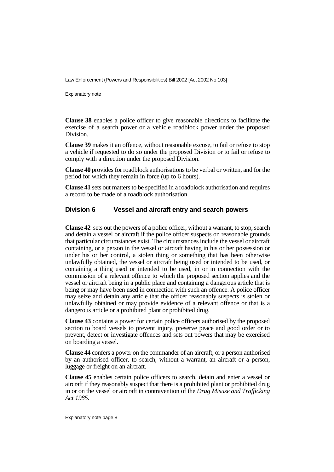Explanatory note

**Clause 38** enables a police officer to give reasonable directions to facilitate the exercise of a search power or a vehicle roadblock power under the proposed Division.

**Clause 39** makes it an offence, without reasonable excuse, to fail or refuse to stop a vehicle if requested to do so under the proposed Division or to fail or refuse to comply with a direction under the proposed Division.

**Clause 40** provides for roadblock authorisations to be verbal or written, and for the period for which they remain in force (up to 6 hours).

**Clause 41** sets out matters to be specified in a roadblock authorisation and requires a record to be made of a roadblock authorisation.

#### **Division 6 Vessel and aircraft entry and search powers**

**Clause 42** sets out the powers of a police officer, without a warrant, to stop, search and detain a vessel or aircraft if the police officer suspects on reasonable grounds that particular circumstances exist. The circumstances include the vessel or aircraft containing, or a person in the vessel or aircraft having in his or her possession or under his or her control, a stolen thing or something that has been otherwise unlawfully obtained, the vessel or aircraft being used or intended to be used, or containing a thing used or intended to be used, in or in connection with the commission of a relevant offence to which the proposed section applies and the vessel or aircraft being in a public place and containing a dangerous article that is being or may have been used in connection with such an offence. A police officer may seize and detain any article that the officer reasonably suspects is stolen or unlawfully obtained or may provide evidence of a relevant offence or that is a dangerous article or a prohibited plant or prohibited drug.

**Clause 43** contains a power for certain police officers authorised by the proposed section to board vessels to prevent injury, preserve peace and good order or to prevent, detect or investigate offences and sets out powers that may be exercised on boarding a vessel.

**Clause 44** confers a power on the commander of an aircraft, or a person authorised by an authorised officer, to search, without a warrant, an aircraft or a person, luggage or freight on an aircraft.

**Clause 45** enables certain police officers to search, detain and enter a vessel or aircraft if they reasonably suspect that there is a prohibited plant or prohibited drug in or on the vessel or aircraft in contravention of the *Drug Misuse and Trafficking Act 1985*.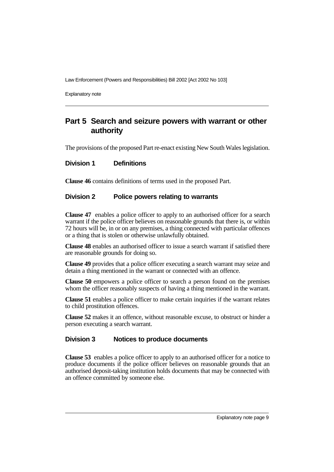Explanatory note

# **Part 5 Search and seizure powers with warrant or other authority**

The provisions of the proposed Part re-enact existing New South Wales legislation.

#### **Division 1 Definitions**

**Clause 46** contains definitions of terms used in the proposed Part.

#### **Division 2 Police powers relating to warrants**

**Clause 47** enables a police officer to apply to an authorised officer for a search warrant if the police officer believes on reasonable grounds that there is, or within 72 hours will be, in or on any premises, a thing connected with particular offences or a thing that is stolen or otherwise unlawfully obtained.

**Clause 48** enables an authorised officer to issue a search warrant if satisfied there are reasonable grounds for doing so.

**Clause 49** provides that a police officer executing a search warrant may seize and detain a thing mentioned in the warrant or connected with an offence.

**Clause 50** empowers a police officer to search a person found on the premises whom the officer reasonably suspects of having a thing mentioned in the warrant.

**Clause 51** enables a police officer to make certain inquiries if the warrant relates to child prostitution offences.

**Clause 52** makes it an offence, without reasonable excuse, to obstruct or hinder a person executing a search warrant.

#### **Division 3 Notices to produce documents**

**Clause 53** enables a police officer to apply to an authorised officer for a notice to produce documents if the police officer believes on reasonable grounds that an authorised deposit-taking institution holds documents that may be connected with an offence committed by someone else.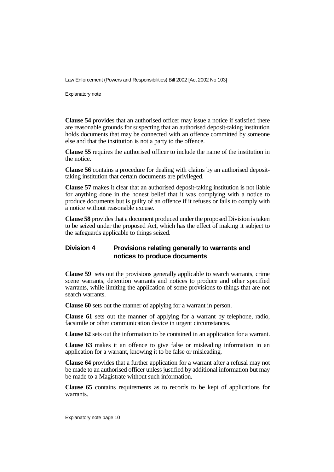Explanatory note

**Clause 54** provides that an authorised officer may issue a notice if satisfied there are reasonable grounds for suspecting that an authorised deposit-taking institution holds documents that may be connected with an offence committed by someone else and that the institution is not a party to the offence.

**Clause 55** requires the authorised officer to include the name of the institution in the notice.

**Clause 56** contains a procedure for dealing with claims by an authorised deposittaking institution that certain documents are privileged.

**Clause 57** makes it clear that an authorised deposit-taking institution is not liable for anything done in the honest belief that it was complying with a notice to produce documents but is guilty of an offence if it refuses or fails to comply with a notice without reasonable excuse.

**Clause 58** provides that a document produced under the proposed Division is taken to be seized under the proposed Act, which has the effect of making it subject to the safeguards applicable to things seized.

#### **Division 4 Provisions relating generally to warrants and notices to produce documents**

**Clause 59** sets out the provisions generally applicable to search warrants, crime scene warrants, detention warrants and notices to produce and other specified warrants, while limiting the application of some provisions to things that are not search warrants.

**Clause 60** sets out the manner of applying for a warrant in person.

**Clause 61** sets out the manner of applying for a warrant by telephone, radio, facsimile or other communication device in urgent circumstances.

**Clause 62** sets out the information to be contained in an application for a warrant.

**Clause 63** makes it an offence to give false or misleading information in an application for a warrant, knowing it to be false or misleading.

**Clause 64** provides that a further application for a warrant after a refusal may not be made to an authorised officer unless justified by additional information but may be made to a Magistrate without such information.

**Clause 65** contains requirements as to records to be kept of applications for warrants.

Explanatory note page 10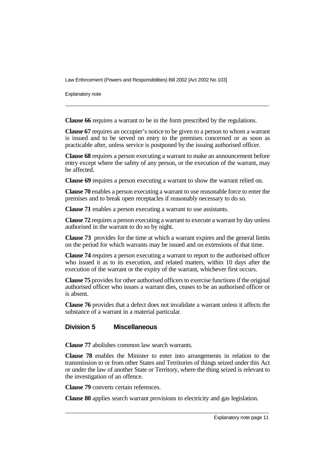Explanatory note

**Clause 66** requires a warrant to be in the form prescribed by the regulations.

**Clause 67** requires an occupier's notice to be given to a person to whom a warrant is issued and to be served on entry to the premises concerned or as soon as practicable after, unless service is postponed by the issuing authorised officer.

**Clause 68** requires a person executing a warrant to make an announcement before entry except where the safety of any person, or the execution of the warrant, may be affected.

**Clause 69** requires a person executing a warrant to show the warrant relied on.

**Clause 70** enables a person executing a warrant to use reasonable force to enter the premises and to break open receptacles if reasonably necessary to do so.

**Clause 71** enables a person executing a warrant to use assistants.

**Clause 72** requires a person executing a warrant to execute a warrant by day unless authorised in the warrant to do so by night.

**Clause 73** provides for the time at which a warrant expires and the general limits on the period for which warrants may be issued and on extensions of that time.

**Clause 74** requires a person executing a warrant to report to the authorised officer who issued it as to its execution, and related matters, within 10 days after the execution of the warrant or the expiry of the warrant, whichever first occurs.

**Clause 75** provides for other authorised officers to exercise functions if the original authorised officer who issues a warrant dies, ceases to be an authorised officer or is absent.

**Clause 76** provides that a defect does not invalidate a warrant unless it affects the substance of a warrant in a material particular.

#### **Division 5 Miscellaneous**

**Clause 77** abolishes common law search warrants.

**Clause 78** enables the Minister to enter into arrangements in relation to the transmission to or from other States and Territories of things seized under this Act or under the law of another State or Territory, where the thing seized is relevant to the investigation of an offence.

**Clause 79** converts certain references.

**Clause 80** applies search warrant provisions to electricity and gas legislation.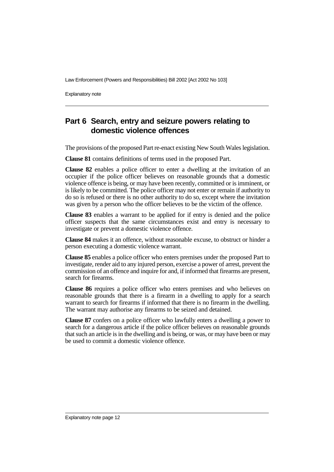Explanatory note

# **Part 6 Search, entry and seizure powers relating to domestic violence offences**

The provisions of the proposed Part re-enact existing New South Wales legislation.

**Clause 81** contains definitions of terms used in the proposed Part.

**Clause 82** enables a police officer to enter a dwelling at the invitation of an occupier if the police officer believes on reasonable grounds that a domestic violence offence is being, or may have been recently, committed or is imminent, or is likely to be committed. The police officer may not enter or remain if authority to do so is refused or there is no other authority to do so, except where the invitation was given by a person who the officer believes to be the victim of the offence.

**Clause 83** enables a warrant to be applied for if entry is denied and the police officer suspects that the same circumstances exist and entry is necessary to investigate or prevent a domestic violence offence.

**Clause 84** makes it an offence, without reasonable excuse, to obstruct or hinder a person executing a domestic violence warrant.

**Clause 85** enables a police officer who enters premises under the proposed Part to investigate, render aid to any injured person, exercise a power of arrest, prevent the commission of an offence and inquire for and, if informed that firearms are present, search for firearms.

**Clause 86** requires a police officer who enters premises and who believes on reasonable grounds that there is a firearm in a dwelling to apply for a search warrant to search for firearms if informed that there is no firearm in the dwelling. The warrant may authorise any firearms to be seized and detained.

**Clause 87** confers on a police officer who lawfully enters a dwelling a power to search for a dangerous article if the police officer believes on reasonable grounds that such an article is in the dwelling and is being, or was, or may have been or may be used to commit a domestic violence offence.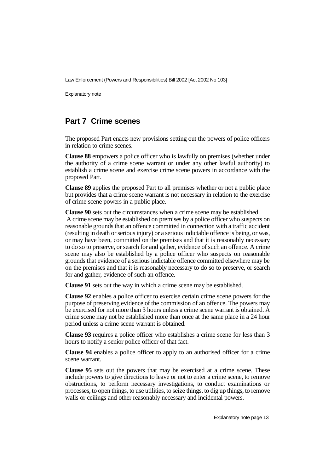Explanatory note

### **Part 7 Crime scenes**

The proposed Part enacts new provisions setting out the powers of police officers in relation to crime scenes.

**Clause 88** empowers a police officer who is lawfully on premises (whether under the authority of a crime scene warrant or under any other lawful authority) to establish a crime scene and exercise crime scene powers in accordance with the proposed Part.

**Clause 89** applies the proposed Part to all premises whether or not a public place but provides that a crime scene warrant is not necessary in relation to the exercise of crime scene powers in a public place.

**Clause 90** sets out the circumstances when a crime scene may be established. A crime scene may be established on premises by a police officer who suspects on reasonable grounds that an offence committed in connection with a traffic accident (resulting in death or serious injury) or a serious indictable offence is being, or was, or may have been, committed on the premises and that it is reasonably necessary to do so to preserve, or search for and gather, evidence of such an offence. A crime scene may also be established by a police officer who suspects on reasonable grounds that evidence of a serious indictable offence committed elsewhere may be on the premises and that it is reasonably necessary to do so to preserve, or search for and gather, evidence of such an offence.

**Clause 91** sets out the way in which a crime scene may be established.

**Clause 92** enables a police officer to exercise certain crime scene powers for the purpose of preserving evidence of the commission of an offence. The powers may be exercised for not more than 3 hours unless a crime scene warrant is obtained. A crime scene may not be established more than once at the same place in a 24 hour period unless a crime scene warrant is obtained.

**Clause 93** requires a police officer who establishes a crime scene for less than 3 hours to notify a senior police officer of that fact.

**Clause 94** enables a police officer to apply to an authorised officer for a crime scene warrant.

**Clause 95** sets out the powers that may be exercised at a crime scene. These include powers to give directions to leave or not to enter a crime scene, to remove obstructions, to perform necessary investigations, to conduct examinations or processes, to open things, to use utilities, to seize things, to dig up things, to remove walls or ceilings and other reasonably necessary and incidental powers.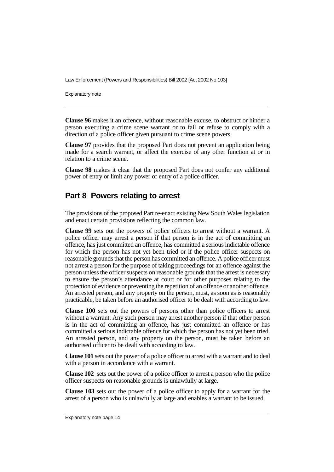Explanatory note

**Clause 96** makes it an offence, without reasonable excuse, to obstruct or hinder a person executing a crime scene warrant or to fail or refuse to comply with a direction of a police officer given pursuant to crime scene powers.

**Clause 97** provides that the proposed Part does not prevent an application being made for a search warrant, or affect the exercise of any other function at or in relation to a crime scene.

**Clause 98** makes it clear that the proposed Part does not confer any additional power of entry or limit any power of entry of a police officer.

#### **Part 8 Powers relating to arrest**

The provisions of the proposed Part re-enact existing New South Wales legislation and enact certain provisions reflecting the common law.

**Clause 99** sets out the powers of police officers to arrest without a warrant. A police officer may arrest a person if that person is in the act of committing an offence, has just committed an offence, has committed a serious indictable offence for which the person has not yet been tried or if the police officer suspects on reasonable grounds that the person has committed an offence. A police officer must not arrest a person for the purpose of taking proceedings for an offence against the person unless the officer suspects on reasonable grounds that the arrest is necessary to ensure the person's attendance at court or for other purposes relating to the protection of evidence or preventing the repetition of an offence or another offence. An arrested person, and any property on the person, must, as soon as is reasonably practicable, be taken before an authorised officer to be dealt with according to law.

**Clause 100** sets out the powers of persons other than police officers to arrest without a warrant. Any such person may arrest another person if that other person is in the act of committing an offence, has just committed an offence or has committed a serious indictable offence for which the person has not yet been tried. An arrested person, and any property on the person, must be taken before an authorised officer to be dealt with according to law.

**Clause 101** sets out the power of a police officer to arrest with a warrant and to deal with a person in accordance with a warrant.

**Clause 102** sets out the power of a police officer to arrest a person who the police officer suspects on reasonable grounds is unlawfully at large.

**Clause 103** sets out the power of a police officer to apply for a warrant for the arrest of a person who is unlawfully at large and enables a warrant to be issued.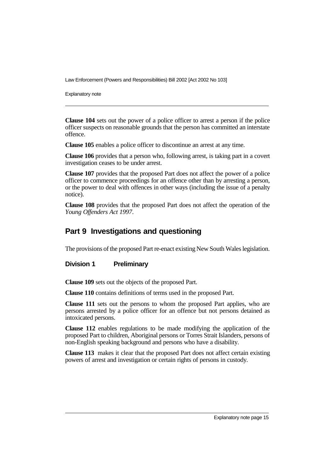Explanatory note

**Clause 104** sets out the power of a police officer to arrest a person if the police officer suspects on reasonable grounds that the person has committed an interstate offence.

**Clause 105** enables a police officer to discontinue an arrest at any time.

**Clause 106** provides that a person who, following arrest, is taking part in a covert investigation ceases to be under arrest.

**Clause 107** provides that the proposed Part does not affect the power of a police officer to commence proceedings for an offence other than by arresting a person, or the power to deal with offences in other ways (including the issue of a penalty notice).

**Clause 108** provides that the proposed Part does not affect the operation of the *Young Offenders Act 1997*.

# **Part 9 Investigations and questioning**

The provisions of the proposed Part re-enact existing New South Wales legislation.

**Division 1 Preliminary**

**Clause 109** sets out the objects of the proposed Part.

**Clause 110** contains definitions of terms used in the proposed Part.

**Clause 111** sets out the persons to whom the proposed Part applies, who are persons arrested by a police officer for an offence but not persons detained as intoxicated persons.

**Clause 112** enables regulations to be made modifying the application of the proposed Part to children, Aboriginal persons or Torres Strait Islanders, persons of non-English speaking background and persons who have a disability.

**Clause 113** makes it clear that the proposed Part does not affect certain existing powers of arrest and investigation or certain rights of persons in custody.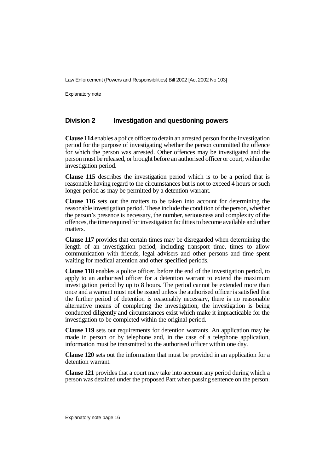Explanatory note

#### **Division 2 Investigation and questioning powers**

**Clause 114** enables a police officer to detain an arrested person for the investigation period for the purpose of investigating whether the person committed the offence for which the person was arrested. Other offences may be investigated and the person must be released, or brought before an authorised officer or court, within the investigation period.

**Clause 115** describes the investigation period which is to be a period that is reasonable having regard to the circumstances but is not to exceed 4 hours or such longer period as may be permitted by a detention warrant.

**Clause 116** sets out the matters to be taken into account for determining the reasonable investigation period. These include the condition of the person, whether the person's presence is necessary, the number, seriousness and complexity of the offences, the time required for investigation facilities to become available and other matters.

**Clause 117** provides that certain times may be disregarded when determining the length of an investigation period, including transport time, times to allow communication with friends, legal advisers and other persons and time spent waiting for medical attention and other specified periods.

**Clause 118** enables a police officer, before the end of the investigation period, to apply to an authorised officer for a detention warrant to extend the maximum investigation period by up to 8 hours. The period cannot be extended more than once and a warrant must not be issued unless the authorised officer is satisfied that the further period of detention is reasonably necessary, there is no reasonable alternative means of completing the investigation, the investigation is being conducted diligently and circumstances exist which make it impracticable for the investigation to be completed within the original period.

**Clause 119** sets out requirements for detention warrants. An application may be made in person or by telephone and, in the case of a telephone application, information must be transmitted to the authorised officer within one day.

**Clause 120** sets out the information that must be provided in an application for a detention warrant.

**Clause 121** provides that a court may take into account any period during which a person was detained under the proposed Part when passing sentence on the person.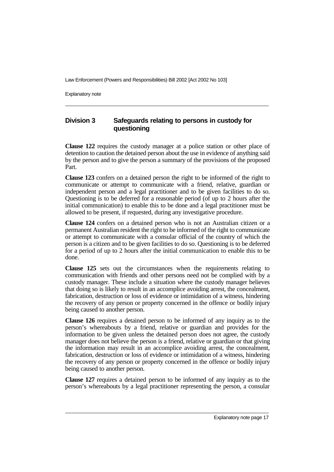Explanatory note

#### **Division 3 Safeguards relating to persons in custody for questioning**

**Clause 122** requires the custody manager at a police station or other place of detention to caution the detained person about the use in evidence of anything said by the person and to give the person a summary of the provisions of the proposed Part.

**Clause 123** confers on a detained person the right to be informed of the right to communicate or attempt to communicate with a friend, relative, guardian or independent person and a legal practitioner and to be given facilities to do so. Questioning is to be deferred for a reasonable period (of up to 2 hours after the initial communication) to enable this to be done and a legal practitioner must be allowed to be present, if requested, during any investigative procedure.

**Clause 124** confers on a detained person who is not an Australian citizen or a permanent Australian resident the right to be informed of the right to communicate or attempt to communicate with a consular official of the country of which the person is a citizen and to be given facilities to do so. Questioning is to be deferred for a period of up to 2 hours after the initial communication to enable this to be done.

**Clause 125** sets out the circumstances when the requirements relating to communication with friends and other persons need not be complied with by a custody manager. These include a situation where the custody manager believes that doing so is likely to result in an accomplice avoiding arrest, the concealment, fabrication, destruction or loss of evidence or intimidation of a witness, hindering the recovery of any person or property concerned in the offence or bodily injury being caused to another person.

**Clause 126** requires a detained person to be informed of any inquiry as to the person's whereabouts by a friend, relative or guardian and provides for the information to be given unless the detained person does not agree, the custody manager does not believe the person is a friend, relative or guardian or that giving the information may result in an accomplice avoiding arrest, the concealment, fabrication, destruction or loss of evidence or intimidation of a witness, hindering the recovery of any person or property concerned in the offence or bodily injury being caused to another person.

**Clause 127** requires a detained person to be informed of any inquiry as to the person's whereabouts by a legal practitioner representing the person, a consular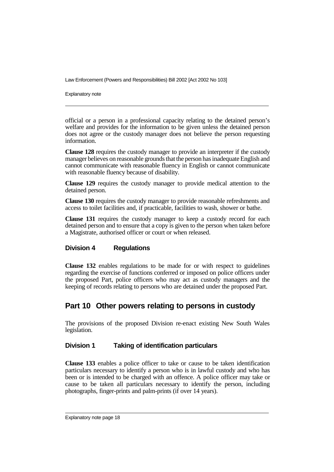Explanatory note

official or a person in a professional capacity relating to the detained person's welfare and provides for the information to be given unless the detained person does not agree or the custody manager does not believe the person requesting information.

**Clause 128** requires the custody manager to provide an interpreter if the custody manager believes on reasonable grounds that the person has inadequate English and cannot communicate with reasonable fluency in English or cannot communicate with reasonable fluency because of disability.

**Clause 129** requires the custody manager to provide medical attention to the detained person.

**Clause 130** requires the custody manager to provide reasonable refreshments and access to toilet facilities and, if practicable, facilities to wash, shower or bathe.

**Clause 131** requires the custody manager to keep a custody record for each detained person and to ensure that a copy is given to the person when taken before a Magistrate, authorised officer or court or when released.

#### **Division 4 Regulations**

**Clause 132** enables regulations to be made for or with respect to guidelines regarding the exercise of functions conferred or imposed on police officers under the proposed Part, police officers who may act as custody managers and the keeping of records relating to persons who are detained under the proposed Part.

# **Part 10 Other powers relating to persons in custody**

The provisions of the proposed Division re-enact existing New South Wales legislation.

#### **Division 1 Taking of identification particulars**

**Clause 133** enables a police officer to take or cause to be taken identification particulars necessary to identify a person who is in lawful custody and who has been or is intended to be charged with an offence. A police officer may take or cause to be taken all particulars necessary to identify the person, including photographs, finger-prints and palm-prints (if over 14 years).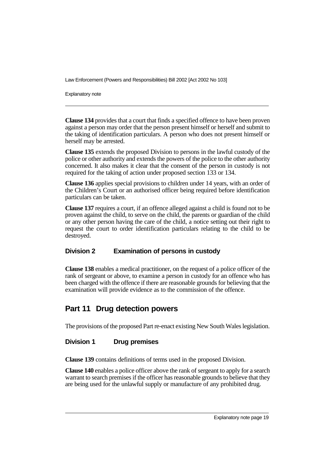Explanatory note

**Clause 134** provides that a court that finds a specified offence to have been proven against a person may order that the person present himself or herself and submit to the taking of identification particulars. A person who does not present himself or herself may be arrested.

**Clause 135** extends the proposed Division to persons in the lawful custody of the police or other authority and extends the powers of the police to the other authority concerned. It also makes it clear that the consent of the person in custody is not required for the taking of action under proposed section 133 or 134.

**Clause 136** applies special provisions to children under 14 years, with an order of the Children's Court or an authorised officer being required before identification particulars can be taken.

**Clause 137** requires a court, if an offence alleged against a child is found not to be proven against the child, to serve on the child, the parents or guardian of the child or any other person having the care of the child, a notice setting out their right to request the court to order identification particulars relating to the child to be destroyed.

#### **Division 2 Examination of persons in custody**

**Clause 138** enables a medical practitioner, on the request of a police officer of the rank of sergeant or above, to examine a person in custody for an offence who has been charged with the offence if there are reasonable grounds for believing that the examination will provide evidence as to the commission of the offence.

# **Part 11 Drug detection powers**

The provisions of the proposed Part re-enact existing New South Wales legislation.

#### **Division 1 Drug premises**

**Clause 139** contains definitions of terms used in the proposed Division.

**Clause 140** enables a police officer above the rank of sergeant to apply for a search warrant to search premises if the officer has reasonable grounds to believe that they are being used for the unlawful supply or manufacture of any prohibited drug.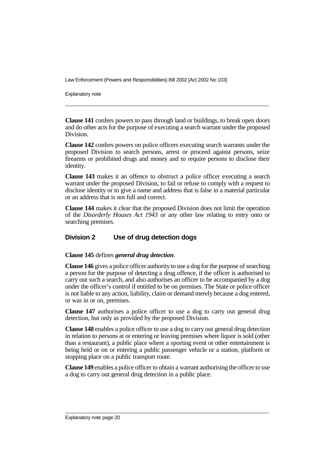Explanatory note

**Clause 141** confers powers to pass through land or buildings, to break open doors and do other acts for the purpose of executing a search warrant under the proposed Division.

**Clause 142** confers powers on police officers executing search warrants under the proposed Division to search persons, arrest or proceed against persons, seize firearms or prohibited drugs and money and to require persons to disclose their identity.

**Clause 143** makes it an offence to obstruct a police officer executing a search warrant under the proposed Division, to fail or refuse to comply with a request to disclose identity or to give a name and address that is false in a material particular or an address that is not full and correct.

**Clause 144** makes it clear that the proposed Division does not limit the operation of the *Disorderly Houses Act 1943* or any other law relating to entry onto or searching premises.

#### **Division 2 Use of drug detection dogs**

#### **Clause 145** defines *general drug detection*.

**Clause 146** gives a police officer authority to use a dog for the purpose of searching a person for the purpose of detecting a drug offence, if the officer is authorised to carry out such a search, and also authorises an officer to be accompanied by a dog under the officer's control if entitled to be on premises. The State or police officer is not liable to any action, liability, claim or demand merely because a dog entered, or was in or on, premises.

**Clause 147** authorises a police officer to use a dog to carry out general drug detection, but only as provided by the proposed Division.

**Clause 148** enables a police officer to use a dog to carry out general drug detection in relation to persons at or entering or leaving premises where liquor is sold (other than a restaurant), a public place where a sporting event or other entertainment is being held or on or entering a public passenger vehicle or a station, platform or stopping place on a public transport route.

**Clause 149** enables a police officer to obtain a warrant authorising the officer to use a dog to carry out general drug detection in a public place.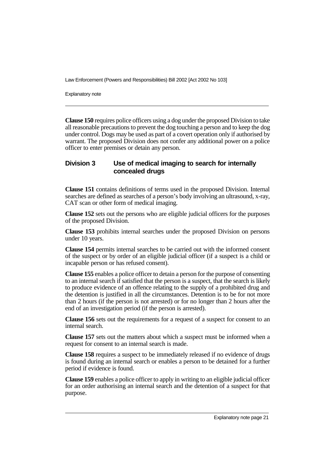Explanatory note

**Clause 150** requires police officers using a dog under the proposed Division to take all reasonable precautions to prevent the dog touching a person and to keep the dog under control. Dogs may be used as part of a covert operation only if authorised by warrant. The proposed Division does not confer any additional power on a police officer to enter premises or detain any person.

#### **Division 3 Use of medical imaging to search for internally concealed drugs**

**Clause 151** contains definitions of terms used in the proposed Division. Internal searches are defined as searches of a person's body involving an ultrasound, x-ray, CAT scan or other form of medical imaging.

**Clause 152** sets out the persons who are eligible judicial officers for the purposes of the proposed Division.

**Clause 153** prohibits internal searches under the proposed Division on persons under 10 years.

**Clause 154** permits internal searches to be carried out with the informed consent of the suspect or by order of an eligible judicial officer (if a suspect is a child or incapable person or has refused consent).

**Clause 155** enables a police officer to detain a person for the purpose of consenting to an internal search if satisfied that the person is a suspect, that the search is likely to produce evidence of an offence relating to the supply of a prohibited drug and the detention is justified in all the circumstances. Detention is to be for not more than 2 hours (if the person is not arrested) or for no longer than 2 hours after the end of an investigation period (if the person is arrested).

**Clause 156** sets out the requirements for a request of a suspect for consent to an internal search.

**Clause 157** sets out the matters about which a suspect must be informed when a request for consent to an internal search is made.

**Clause 158** requires a suspect to be immediately released if no evidence of drugs is found during an internal search or enables a person to be detained for a further period if evidence is found.

**Clause 159** enables a police officer to apply in writing to an eligible judicial officer for an order authorising an internal search and the detention of a suspect for that purpose.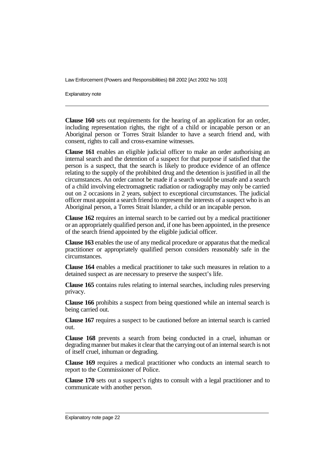Explanatory note

**Clause 160** sets out requirements for the hearing of an application for an order, including representation rights, the right of a child or incapable person or an Aboriginal person or Torres Strait Islander to have a search friend and, with consent, rights to call and cross-examine witnesses.

**Clause 161** enables an eligible judicial officer to make an order authorising an internal search and the detention of a suspect for that purpose if satisfied that the person is a suspect, that the search is likely to produce evidence of an offence relating to the supply of the prohibited drug and the detention is justified in all the circumstances. An order cannot be made if a search would be unsafe and a search of a child involving electromagnetic radiation or radiography may only be carried out on 2 occasions in 2 years, subject to exceptional circumstances. The judicial officer must appoint a search friend to represent the interests of a suspect who is an Aboriginal person, a Torres Strait Islander, a child or an incapable person.

**Clause 162** requires an internal search to be carried out by a medical practitioner or an appropriately qualified person and, if one has been appointed, in the presence of the search friend appointed by the eligible judicial officer.

**Clause 163** enables the use of any medical procedure or apparatus that the medical practitioner or appropriately qualified person considers reasonably safe in the circumstances.

**Clause 164** enables a medical practitioner to take such measures in relation to a detained suspect as are necessary to preserve the suspect's life.

**Clause 165** contains rules relating to internal searches, including rules preserving privacy.

**Clause 166** prohibits a suspect from being questioned while an internal search is being carried out.

**Clause 167** requires a suspect to be cautioned before an internal search is carried out.

**Clause 168** prevents a search from being conducted in a cruel, inhuman or degrading manner but makes it clear that the carrying out of an internal search is not of itself cruel, inhuman or degrading.

**Clause 169** requires a medical practitioner who conducts an internal search to report to the Commissioner of Police.

**Clause 170** sets out a suspect's rights to consult with a legal practitioner and to communicate with another person.

Explanatory note page 22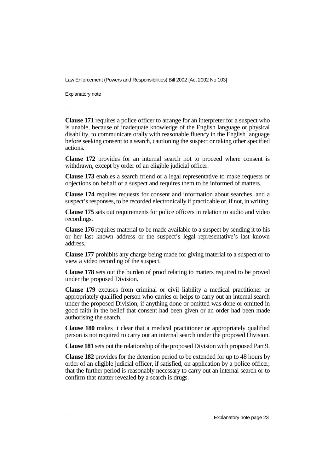Explanatory note

**Clause 171** requires a police officer to arrange for an interpreter for a suspect who is unable, because of inadequate knowledge of the English language or physical disability, to communicate orally with reasonable fluency in the English language before seeking consent to a search, cautioning the suspect or taking other specified actions.

**Clause 172** provides for an internal search not to proceed where consent is withdrawn, except by order of an eligible judicial officer.

**Clause 173** enables a search friend or a legal representative to make requests or objections on behalf of a suspect and requires them to be informed of matters.

**Clause 174** requires requests for consent and information about searches, and a suspect's responses, to be recorded electronically if practicable or, if not, in writing.

**Clause 175** sets out requirements for police officers in relation to audio and video recordings.

**Clause 176** requires material to be made available to a suspect by sending it to his or her last known address or the suspect's legal representative's last known address.

**Clause 177** prohibits any charge being made for giving material to a suspect or to view a video recording of the suspect.

**Clause 178** sets out the burden of proof relating to matters required to be proved under the proposed Division.

**Clause 179** excuses from criminal or civil liability a medical practitioner or appropriately qualified person who carries or helps to carry out an internal search under the proposed Division, if anything done or omitted was done or omitted in good faith in the belief that consent had been given or an order had been made authorising the search.

**Clause 180** makes it clear that a medical practitioner or appropriately qualified person is not required to carry out an internal search under the proposed Division.

**Clause 181** sets out the relationship of the proposed Division with proposed Part 9.

**Clause 182** provides for the detention period to be extended for up to 48 hours by order of an eligible judicial officer, if satisfied, on application by a police officer, that the further period is reasonably necessary to carry out an internal search or to confirm that matter revealed by a search is drugs.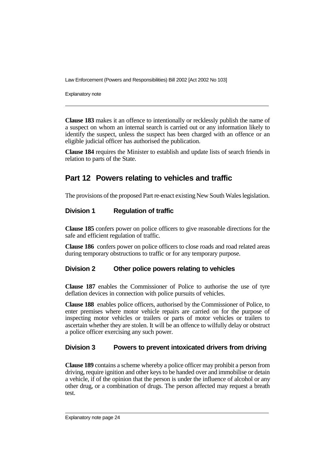Explanatory note

**Clause 183** makes it an offence to intentionally or recklessly publish the name of a suspect on whom an internal search is carried out or any information likely to identify the suspect, unless the suspect has been charged with an offence or an eligible judicial officer has authorised the publication.

**Clause 184** requires the Minister to establish and update lists of search friends in relation to parts of the State.

# **Part 12 Powers relating to vehicles and traffic**

The provisions of the proposed Part re-enact existing New South Wales legislation.

#### **Division 1 Regulation of traffic**

**Clause 185** confers power on police officers to give reasonable directions for the safe and efficient regulation of traffic.

**Clause 186** confers power on police officers to close roads and road related areas during temporary obstructions to traffic or for any temporary purpose.

#### **Division 2 Other police powers relating to vehicles**

**Clause 187** enables the Commissioner of Police to authorise the use of tyre deflation devices in connection with police pursuits of vehicles.

**Clause 188** enables police officers, authorised by the Commissioner of Police, to enter premises where motor vehicle repairs are carried on for the purpose of inspecting motor vehicles or trailers or parts of motor vehicles or trailers to ascertain whether they are stolen. It will be an offence to wilfully delay or obstruct a police officer exercising any such power.

#### **Division 3 Powers to prevent intoxicated drivers from driving**

**Clause 189** contains a scheme whereby a police officer may prohibit a person from driving, require ignition and other keys to be handed over and immobilise or detain a vehicle, if of the opinion that the person is under the influence of alcohol or any other drug, or a combination of drugs. The person affected may request a breath test.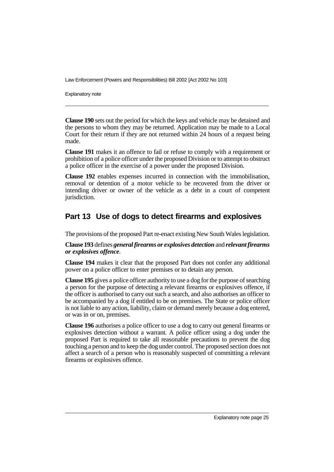Explanatory note

**Clause 190** sets out the period for which the keys and vehicle may be detained and the persons to whom they may be returned. Application may be made to a Local Court for their return if they are not returned within 24 hours of a request being made.

**Clause 191** makes it an offence to fail or refuse to comply with a requirement or prohibition of a police officer under the proposed Division or to attempt to obstruct a police officer in the exercise of a power under the proposed Division.

**Clause 192** enables expenses incurred in connection with the immobilisation, removal or detention of a motor vehicle to be recovered from the driver or intending driver or owner of the vehicle as a debt in a court of competent jurisdiction.

### **Part 13 Use of dogs to detect firearms and explosives**

The provisions of the proposed Part re-enact existing New South Wales legislation.

#### **Clause 193** defines *general firearms or explosives detection* and *relevant firearms or explosives offence*.

**Clause 194** makes it clear that the proposed Part does not confer any additional power on a police officer to enter premises or to detain any person.

**Clause 195** gives a police officer authority to use a dog for the purpose of searching a person for the purpose of detecting a relevant firearms or explosives offence, if the officer is authorised to carry out such a search, and also authorises an officer to be accompanied by a dog if entitled to be on premises. The State or police officer is not liable to any action, liability, claim or demand merely because a dog entered, or was in or on, premises.

**Clause 196** authorises a police officer to use a dog to carry out general firearms or explosives detection without a warrant. A police officer using a dog under the proposed Part is required to take all reasonable precautions to prevent the dog touching a person and to keep the dog under control. The proposed section does not affect a search of a person who is reasonably suspected of committing a relevant firearms or explosives offence.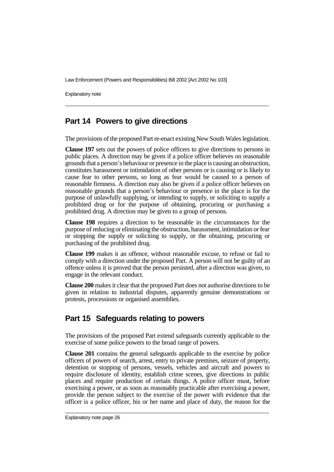Explanatory note

### **Part 14 Powers to give directions**

The provisions of the proposed Part re-enact existing New South Wales legislation.

**Clause 197** sets out the powers of police officers to give directions to persons in public places. A direction may be given if a police officer believes on reasonable grounds that a person's behaviour or presence in the place is causing an obstruction, constitutes harassment or intimidation of other persons or is causing or is likely to cause fear to other persons, so long as fear would be caused to a person of reasonable firmness. A direction may also be given if a police officer believes on reasonable grounds that a person's behaviour or presence in the place is for the purpose of unlawfully supplying, or intending to supply, or soliciting to supply a prohibited drug or for the purpose of obtaining, procuring or purchasing a prohibited drug. A direction may be given to a group of persons.

**Clause 198** requires a direction to be reasonable in the circumstances for the purpose of reducing or eliminating the obstruction, harassment, intimidation or fear or stopping the supply or soliciting to supply, or the obtaining, procuring or purchasing of the prohibited drug.

**Clause 199** makes it an offence, without reasonable excuse, to refuse or fail to comply with a direction under the proposed Part. A person will not be guilty of an offence unless it is proved that the person persisted, after a direction was given, to engage in the relevant conduct.

**Clause 200** makes it clear that the proposed Part does not authorise directions to be given in relation to industrial disputes, apparently genuine demonstrations or protests, processions or organised assemblies.

# **Part 15 Safeguards relating to powers**

The provisions of the proposed Part extend safeguards currently applicable to the exercise of some police powers to the broad range of powers.

**Clause 201** contains the general safeguards applicable to the exercise by police officers of powers of search, arrest, entry to private premises, seizure of property, detention or stopping of persons, vessels, vehicles and aircraft and powers to require disclosure of identity, establish crime scenes, give directions in public places and require production of certain things. A police officer must, before exercising a power, or as soon as reasonably practicable after exercising a power, provide the person subject to the exercise of the power with evidence that the officer is a police officer, his or her name and place of duty, the reason for the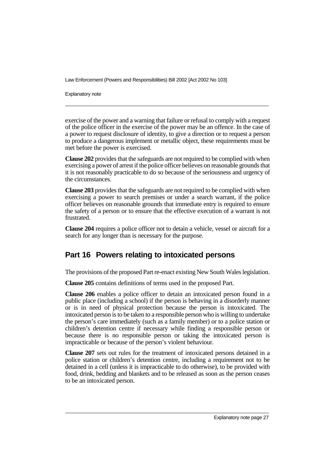Explanatory note

exercise of the power and a warning that failure or refusal to comply with a request of the police officer in the exercise of the power may be an offence. In the case of a power to request disclosure of identity, to give a direction or to request a person to produce a dangerous implement or metallic object, these requirements must be met before the power is exercised.

**Clause 202** provides that the safeguards are not required to be complied with when exercising a power of arrest if the police officer believes on reasonable grounds that it is not reasonably practicable to do so because of the seriousness and urgency of the circumstances.

**Clause 203** provides that the safeguards are not required to be complied with when exercising a power to search premises or under a search warrant, if the police officer believes on reasonable grounds that immediate entry is required to ensure the safety of a person or to ensure that the effective execution of a warrant is not frustrated.

**Clause 204** requires a police officer not to detain a vehicle, vessel or aircraft for a search for any longer than is necessary for the purpose.

# **Part 16 Powers relating to intoxicated persons**

The provisions of the proposed Part re-enact existing New South Wales legislation.

**Clause 205** contains definitions of terms used in the proposed Part.

**Clause 206** enables a police officer to detain an intoxicated person found in a public place (including a school) if the person is behaving in a disorderly manner or is in need of physical protection because the person is intoxicated. The intoxicated person is to be taken to a responsible person who is willing to undertake the person's care immediately (such as a family member) or to a police station or children's detention centre if necessary while finding a responsible person or because there is no responsible person or taking the intoxicated person is impracticable or because of the person's violent behaviour.

**Clause 207** sets out rules for the treatment of intoxicated persons detained in a police station or children's detention centre, including a requirement not to be detained in a cell (unless it is impracticable to do otherwise), to be provided with food, drink, bedding and blankets and to be released as soon as the person ceases to be an intoxicated person.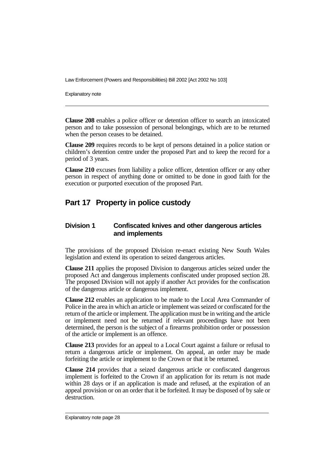Explanatory note

**Clause 208** enables a police officer or detention officer to search an intoxicated person and to take possession of personal belongings, which are to be returned when the person ceases to be detained.

**Clause 209** requires records to be kept of persons detained in a police station or children's detention centre under the proposed Part and to keep the record for a period of 3 years.

**Clause 210** excuses from liability a police officer, detention officer or any other person in respect of anything done or omitted to be done in good faith for the execution or purported execution of the proposed Part.

### **Part 17 Property in police custody**

#### **Division 1 Confiscated knives and other dangerous articles and implements**

The provisions of the proposed Division re-enact existing New South Wales legislation and extend its operation to seized dangerous articles.

**Clause 211** applies the proposed Division to dangerous articles seized under the proposed Act and dangerous implements confiscated under proposed section 28. The proposed Division will not apply if another Act provides for the confiscation of the dangerous article or dangerous implement.

**Clause 212** enables an application to be made to the Local Area Commander of Police in the area in which an article or implement was seized or confiscated for the return of the article or implement. The application must be in writing and the article or implement need not be returned if relevant proceedings have not been determined, the person is the subject of a firearms prohibition order or possession of the article or implement is an offence.

**Clause 213** provides for an appeal to a Local Court against a failure or refusal to return a dangerous article or implement. On appeal, an order may be made forfeiting the article or implement to the Crown or that it be returned.

**Clause 214** provides that a seized dangerous article or confiscated dangerous implement is forfeited to the Crown if an application for its return is not made within 28 days or if an application is made and refused, at the expiration of an appeal provision or on an order that it be forfeited. It may be disposed of by sale or destruction.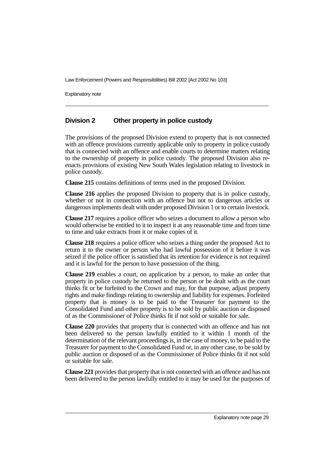Explanatory note

#### **Division 2 Other property in police custody**

The provisions of the proposed Division extend to property that is not connected with an offence provisions currently applicable only to property in police custody that is connected with an offence and enable courts to determine matters relating to the ownership of property in police custody. The proposed Division also reenacts provisions of existing New South Wales legislation relating to livestock in police custody.

**Clause 215** contains definitions of terms used in the proposed Division.

**Clause 216** applies the proposed Division to property that is in police custody, whether or not in connection with an offence but not to dangerous articles or dangerous implements dealt with under proposed Division 1 or to certain livestock.

**Clause 217** requires a police officer who seizes a document to allow a person who would otherwise be entitled to it to inspect it at any reasonable time and from time to time and take extracts from it or make copies of it.

**Clause 218** requires a police officer who seizes a thing under the proposed Act to return it to the owner or person who had lawful possession of it before it was seized if the police officer is satisfied that its retention for evidence is not required and it is lawful for the person to have possession of the thing.

**Clause 219** enables a court, on application by a person, to make an order that property in police custody be returned to the person or be dealt with as the court thinks fit or be forfeited to the Crown and may, for that purpose, adjust property rights and make findings relating to ownership and liability for expenses. Forfeited property that is money is to be paid to the Treasurer for payment to the Consolidated Fund and other property is to be sold by public auction or disposed of as the Commissioner of Police thinks fit if not sold or suitable for sale.

**Clause 220** provides that property that is connected with an offence and has not been delivered to the person lawfully entitled to it within 1 month of the determination of the relevant proceedings is, in the case of money, to be paid to the Treasurer for payment to the Consolidated Fund or, in any other case, to be sold by public auction or disposed of as the Commissioner of Police thinks fit if not sold or suitable for sale.

**Clause 221** provides that property that is not connected with an offence and has not been delivered to the person lawfully entitled to it may be used for the purposes of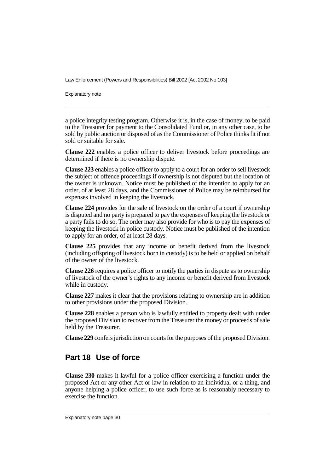Explanatory note

a police integrity testing program. Otherwise it is, in the case of money, to be paid to the Treasurer for payment to the Consolidated Fund or, in any other case, to be sold by public auction or disposed of as the Commissioner of Police thinks fit if not sold or suitable for sale.

**Clause 222** enables a police officer to deliver livestock before proceedings are determined if there is no ownership dispute.

**Clause 223** enables a police officer to apply to a court for an order to sell livestock the subject of offence proceedings if ownership is not disputed but the location of the owner is unknown. Notice must be published of the intention to apply for an order, of at least 28 days, and the Commissioner of Police may be reimbursed for expenses involved in keeping the livestock.

**Clause 224** provides for the sale of livestock on the order of a court if ownership is disputed and no party is prepared to pay the expenses of keeping the livestock or a party fails to do so. The order may also provide for who is to pay the expenses of keeping the livestock in police custody. Notice must be published of the intention to apply for an order, of at least 28 days.

**Clause 225** provides that any income or benefit derived from the livestock (including offspring of livestock born in custody) is to be held or applied on behalf of the owner of the livestock.

**Clause 226** requires a police officer to notify the parties in dispute as to ownership of livestock of the owner's rights to any income or benefit derived from livestock while in custody.

**Clause 227** makes it clear that the provisions relating to ownership are in addition to other provisions under the proposed Division.

**Clause 228** enables a person who is lawfully entitled to property dealt with under the proposed Division to recover from the Treasurer the money or proceeds of sale held by the Treasurer.

**Clause 229** confers jurisdiction on courts for the purposes of the proposed Division.

### **Part 18 Use of force**

**Clause 230** makes it lawful for a police officer exercising a function under the proposed Act or any other Act or law in relation to an individual or a thing, and anyone helping a police officer, to use such force as is reasonably necessary to exercise the function.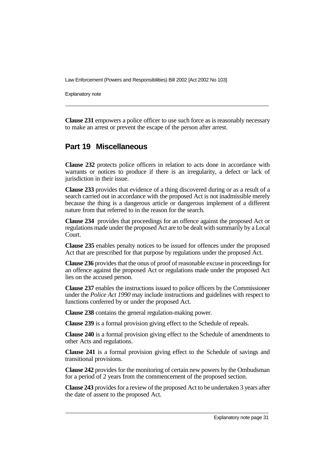Explanatory note

**Clause 231** empowers a police officer to use such force as is reasonably necessary to make an arrest or prevent the escape of the person after arrest.

### **Part 19 Miscellaneous**

**Clause 232** protects police officers in relation to acts done in accordance with warrants or notices to produce if there is an irregularity, a defect or lack of jurisdiction in their issue.

**Clause 233** provides that evidence of a thing discovered during or as a result of a search carried out in accordance with the proposed Act is not inadmissible merely because the thing is a dangerous article or dangerous implement of a different nature from that referred to in the reason for the search.

**Clause 234** provides that proceedings for an offence against the proposed Act or regulations made under the proposed Act are to be dealt with summarily by a Local Court.

**Clause 235** enables penalty notices to be issued for offences under the proposed Act that are prescribed for that purpose by regulations under the proposed Act.

**Clause 236** provides that the onus of proof of reasonable excuse in proceedings for an offence against the proposed Act or regulations made under the proposed Act lies on the accused person.

**Clause 237** enables the instructions issued to police officers by the Commissioner under the *Police Act 1990* may include instructions and guidelines with respect to functions conferred by or under the proposed Act.

**Clause 238** contains the general regulation-making power.

**Clause 239** is a formal provision giving effect to the Schedule of repeals.

**Clause 240** is a formal provision giving effect to the Schedule of amendments to other Acts and regulations.

**Clause 241** is a formal provision giving effect to the Schedule of savings and transitional provisions.

**Clause 242** provides for the monitoring of certain new powers by the Ombudsman for a period of 2 years from the commencement of the proposed section.

**Clause 243** provides for a review of the proposed Act to be undertaken 3 years after the date of assent to the proposed Act.